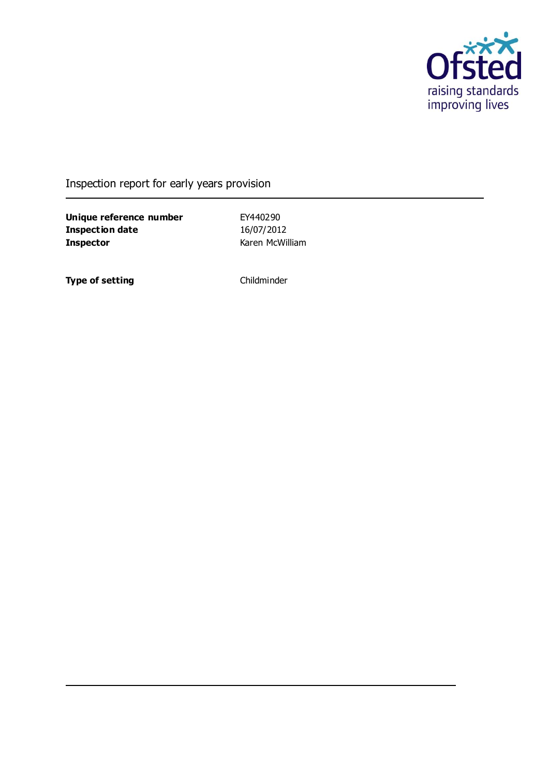

Inspection report for early years provision

**Unique reference number** EY440290<br> **Inspection date** 16/07/2012 **Inspection date Inspector** Karen McWilliam

**Type of setting** Childminder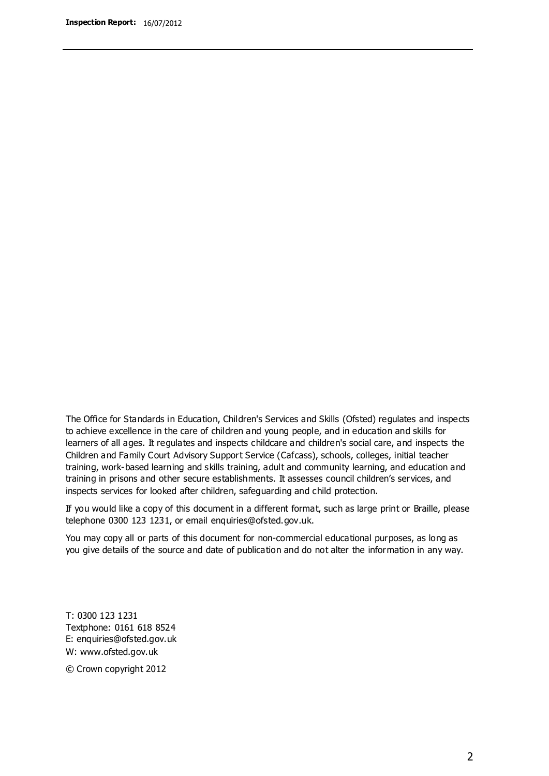The Office for Standards in Education, Children's Services and Skills (Ofsted) regulates and inspects to achieve excellence in the care of children and young people, and in education and skills for learners of all ages. It regulates and inspects childcare and children's social care, and inspects the Children and Family Court Advisory Support Service (Cafcass), schools, colleges, initial teacher training, work-based learning and skills training, adult and community learning, and education and training in prisons and other secure establishments. It assesses council children's services, and inspects services for looked after children, safeguarding and child protection.

If you would like a copy of this document in a different format, such as large print or Braille, please telephone 0300 123 1231, or email enquiries@ofsted.gov.uk.

You may copy all or parts of this document for non-commercial educational purposes, as long as you give details of the source and date of publication and do not alter the information in any way.

T: 0300 123 1231 Textphone: 0161 618 8524 E: enquiries@ofsted.gov.uk W: [www.ofsted.gov.uk](http://www.ofsted.gov.uk/)

© Crown copyright 2012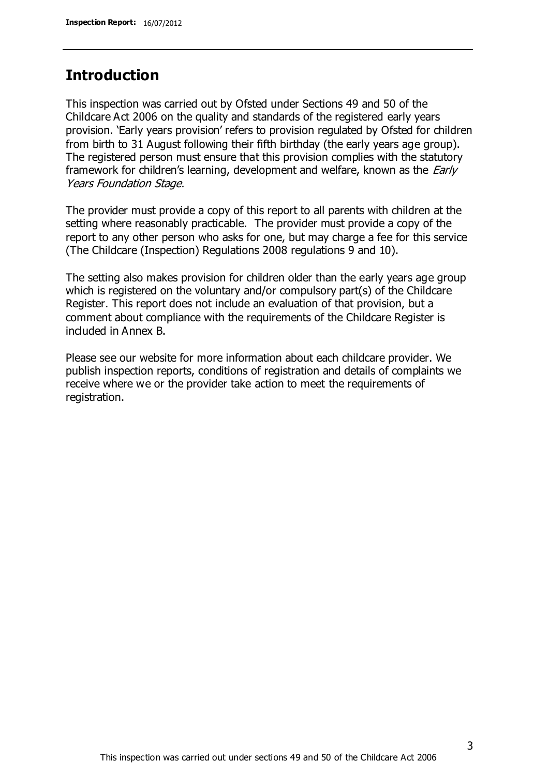### **Introduction**

This inspection was carried out by Ofsted under Sections 49 and 50 of the Childcare Act 2006 on the quality and standards of the registered early years provision. 'Early years provision' refers to provision regulated by Ofsted for children from birth to 31 August following their fifth birthday (the early years age group). The registered person must ensure that this provision complies with the statutory framework for children's learning, development and welfare, known as the *Early* Years Foundation Stage.

The provider must provide a copy of this report to all parents with children at the setting where reasonably practicable. The provider must provide a copy of the report to any other person who asks for one, but may charge a fee for this service (The Childcare (Inspection) Regulations 2008 regulations 9 and 10).

The setting also makes provision for children older than the early years age group which is registered on the voluntary and/or compulsory part(s) of the Childcare Register. This report does not include an evaluation of that provision, but a comment about compliance with the requirements of the Childcare Register is included in Annex B.

Please see our website for more information about each childcare provider. We publish inspection reports, conditions of registration and details of complaints we receive where we or the provider take action to meet the requirements of registration.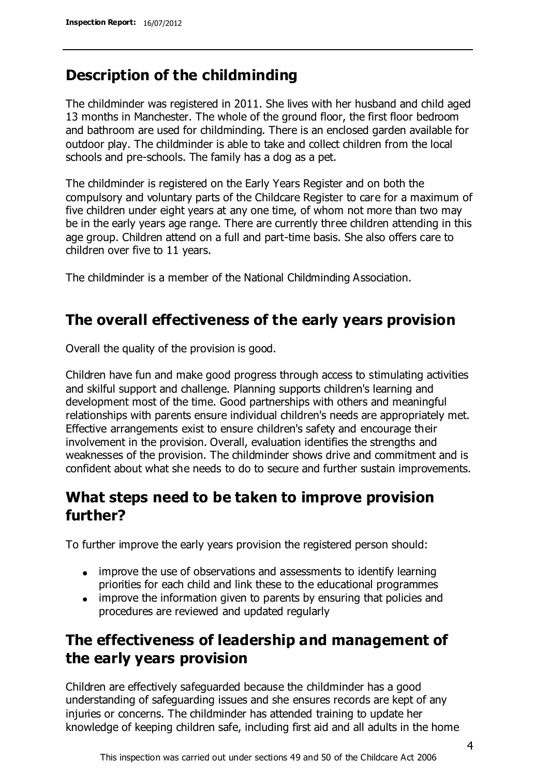### **Description of the childminding**

The childminder was registered in 2011. She lives with her husband and child aged 13 months in Manchester. The whole of the ground floor, the first floor bedroom and bathroom are used for childminding. There is an enclosed garden available for outdoor play. The childminder is able to take and collect children from the local schools and pre-schools. The family has a dog as a pet.

The childminder is registered on the Early Years Register and on both the compulsory and voluntary parts of the Childcare Register to care for a maximum of five children under eight years at any one time, of whom not more than two may be in the early years age range. There are currently three children attending in this age group. Children attend on a full and part-time basis. She also offers care to children over five to 11 years.

The childminder is a member of the National Childminding Association.

## **The overall effectiveness of the early years provision**

Overall the quality of the provision is good.

Children have fun and make good progress through access to stimulating activities and skilful support and challenge. Planning supports children's learning and development most of the time. Good partnerships with others and meaningful relationships with parents ensure individual children's needs are appropriately met. Effective arrangements exist to ensure children's safety and encourage their involvement in the provision. Overall, evaluation identifies the strengths and weaknesses of the provision. The childminder shows drive and commitment and is confident about what she needs to do to secure and further sustain improvements.

## **What steps need to be taken to improve provision further?**

To further improve the early years provision the registered person should:

- improve the use of observations and assessments to identify learning priorities for each child and link these to the educational programmes
- improve the information given to parents by ensuring that policies and procedures are reviewed and updated regularly

## **The effectiveness of leadership and management of the early years provision**

Children are effectively safeguarded because the childminder has a good understanding of safeguarding issues and she ensures records are kept of any injuries or concerns. The childminder has attended training to update her knowledge of keeping children safe, including first aid and all adults in the home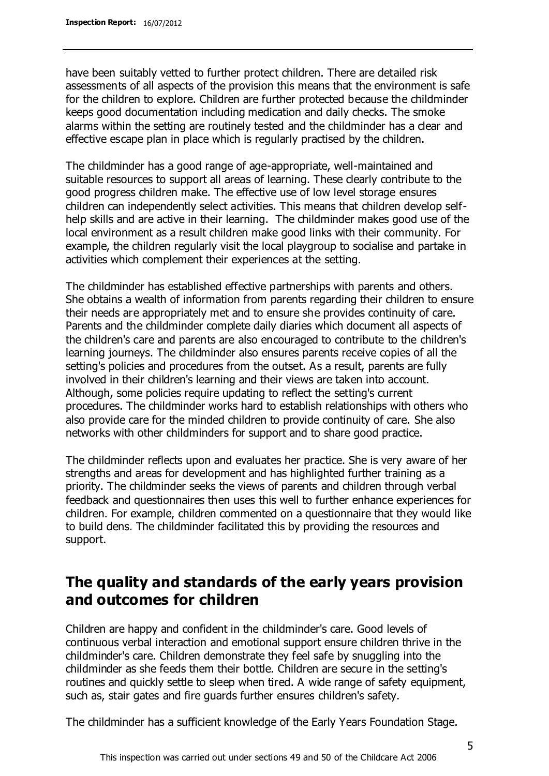have been suitably vetted to further protect children. There are detailed risk assessments of all aspects of the provision this means that the environment is safe for the children to explore. Children are further protected because the childminder keeps good documentation including medication and daily checks. The smoke alarms within the setting are routinely tested and the childminder has a clear and effective escape plan in place which is regularly practised by the children.

The childminder has a good range of age-appropriate, well-maintained and suitable resources to support all areas of learning. These clearly contribute to the good progress children make. The effective use of low level storage ensures children can independently select activities. This means that children develop selfhelp skills and are active in their learning. The childminder makes good use of the local environment as a result children make good links with their community. For example, the children regularly visit the local playgroup to socialise and partake in activities which complement their experiences at the setting.

The childminder has established effective partnerships with parents and others. She obtains a wealth of information from parents regarding their children to ensure their needs are appropriately met and to ensure she provides continuity of care. Parents and the childminder complete daily diaries which document all aspects of the children's care and parents are also encouraged to contribute to the children's learning journeys. The childminder also ensures parents receive copies of all the setting's policies and procedures from the outset. As a result, parents are fully involved in their children's learning and their views are taken into account. Although, some policies require updating to reflect the setting's current procedures. The childminder works hard to establish relationships with others who also provide care for the minded children to provide continuity of care. She also networks with other childminders for support and to share good practice.

The childminder reflects upon and evaluates her practice. She is very aware of her strengths and areas for development and has highlighted further training as a priority. The childminder seeks the views of parents and children through verbal feedback and questionnaires then uses this well to further enhance experiences for children. For example, children commented on a questionnaire that they would like to build dens. The childminder facilitated this by providing the resources and support.

### **The quality and standards of the early years provision and outcomes for children**

Children are happy and confident in the childminder's care. Good levels of continuous verbal interaction and emotional support ensure children thrive in the childminder's care. Children demonstrate they feel safe by snuggling into the childminder as she feeds them their bottle. Children are secure in the setting's routines and quickly settle to sleep when tired. A wide range of safety equipment, such as, stair gates and fire guards further ensures children's safety.

The childminder has a sufficient knowledge of the Early Years Foundation Stage.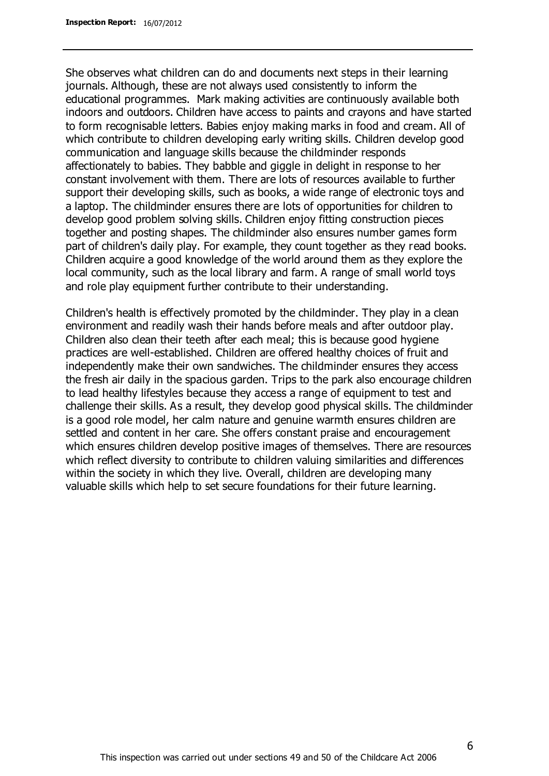She observes what children can do and documents next steps in their learning journals. Although, these are not always used consistently to inform the educational programmes. Mark making activities are continuously available both indoors and outdoors. Children have access to paints and crayons and have started to form recognisable letters. Babies enjoy making marks in food and cream. All of which contribute to children developing early writing skills. Children develop good communication and language skills because the childminder responds affectionately to babies. They babble and giggle in delight in response to her constant involvement with them. There are lots of resources available to further support their developing skills, such as books, a wide range of electronic toys and a laptop. The childminder ensures there are lots of opportunities for children to develop good problem solving skills. Children enjoy fitting construction pieces together and posting shapes. The childminder also ensures number games form part of children's daily play. For example, they count together as they read books. Children acquire a good knowledge of the world around them as they explore the local community, such as the local library and farm. A range of small world toys and role play equipment further contribute to their understanding.

Children's health is effectively promoted by the childminder. They play in a clean environment and readily wash their hands before meals and after outdoor play. Children also clean their teeth after each meal; this is because good hygiene practices are well-established. Children are offered healthy choices of fruit and independently make their own sandwiches. The childminder ensures they access the fresh air daily in the spacious garden. Trips to the park also encourage children to lead healthy lifestyles because they access a range of equipment to test and challenge their skills. As a result, they develop good physical skills. The childminder is a good role model, her calm nature and genuine warmth ensures children are settled and content in her care. She offers constant praise and encouragement which ensures children develop positive images of themselves. There are resources which reflect diversity to contribute to children valuing similarities and differences within the society in which they live. Overall, children are developing many valuable skills which help to set secure foundations for their future learning.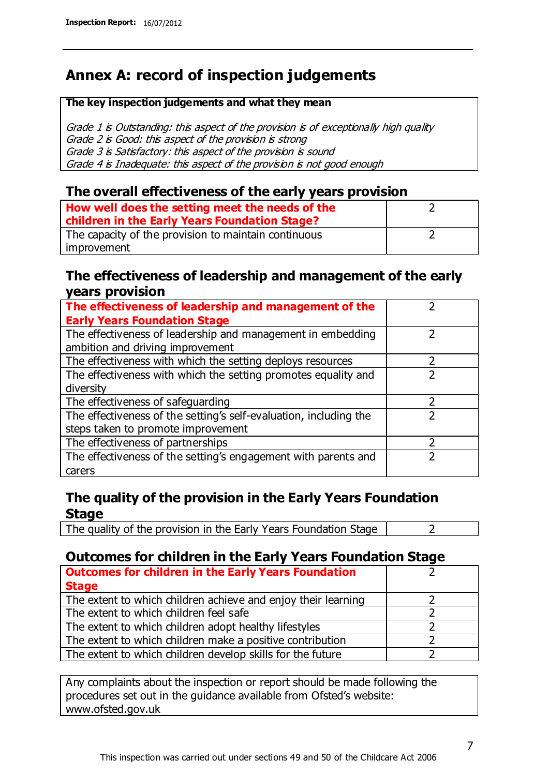## **Annex A: record of inspection judgements**

#### **The key inspection judgements and what they mean**

Grade 1 is Outstanding: this aspect of the provision is of exceptionally high quality Grade 2 is Good: this aspect of the provision is strong Grade 3 is Satisfactory: this aspect of the provision is sound Grade 4 is Inadequate: this aspect of the provision is not good enough

### **The overall effectiveness of the early years provision**

| How well does the setting meet the needs of the<br>children in the Early Years Foundation Stage? |  |
|--------------------------------------------------------------------------------------------------|--|
| The capacity of the provision to maintain continuous                                             |  |
| improvement                                                                                      |  |

### **The effectiveness of leadership and management of the early years provision**

| The effectiveness of leadership and management of the             |  |
|-------------------------------------------------------------------|--|
| <b>Early Years Foundation Stage</b>                               |  |
| The effectiveness of leadership and management in embedding       |  |
| ambition and driving improvement                                  |  |
| The effectiveness with which the setting deploys resources        |  |
| The effectiveness with which the setting promotes equality and    |  |
| diversity                                                         |  |
| The effectiveness of safeguarding                                 |  |
| The effectiveness of the setting's self-evaluation, including the |  |
| steps taken to promote improvement                                |  |
| The effectiveness of partnerships                                 |  |
| The effectiveness of the setting's engagement with parents and    |  |
| carers                                                            |  |

### **The quality of the provision in the Early Years Foundation Stage**

The quality of the provision in the Early Years Foundation Stage  $\vert$  2

### **Outcomes for children in the Early Years Foundation Stage**

| <b>Outcomes for children in the Early Years Foundation</b>    |  |
|---------------------------------------------------------------|--|
| <b>Stage</b>                                                  |  |
| The extent to which children achieve and enjoy their learning |  |
| The extent to which children feel safe                        |  |
| The extent to which children adopt healthy lifestyles         |  |
| The extent to which children make a positive contribution     |  |
| The extent to which children develop skills for the future    |  |

Any complaints about the inspection or report should be made following the procedures set out in the guidance available from Ofsted's website: www.ofsted.gov.uk